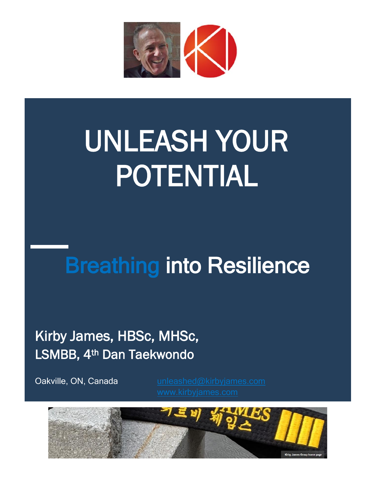

# UNLEASH YOUR POTENTIAL

# **Breathing into Resilience**

Kirby James, HBSc, MHSc, LSMBB, 4th Dan Taekwondo

Oakville, ON, Canada

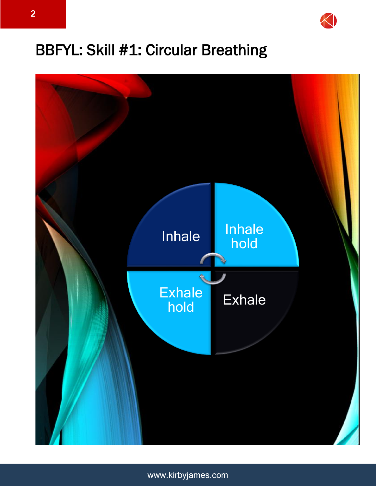

# BBFYL: Skill #1: Circular Breathing

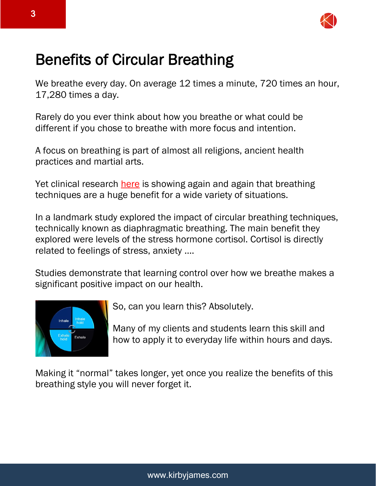

# Benefits of Circular Breathing

We breathe every day. On average 12 times a minute, 720 times an hour, 17,280 times a day.

Rarely do you ever think about how you breathe or what could be different if you chose to breathe with more focus and intention.

A focus on breathing is part of almost all religions, ancient health practices and martial arts.

Yet clinical research [here](https://www.ncbi.nlm.nih.gov/pmc/articles/PMC5455070/citedby/) is showing again and again that breathing techniques are a huge benefit for a wide variety of situations.

In a landmark study explored the impact of circular breathing techniques, technically known as diaphragmatic breathing. The main benefit they explored were levels of the stress hormone cortisol. Cortisol is directly related to feelings of stress, anxiety ….

Studies demonstrate that learning control over how we breathe makes a significant positive impact on our health.



So, can you learn this? Absolutely.

Many of my clients and students learn this skill and how to apply it to everyday life within hours and days.

Making it "normal" takes longer, yet once you realize the benefits of this breathing style you will never forget it.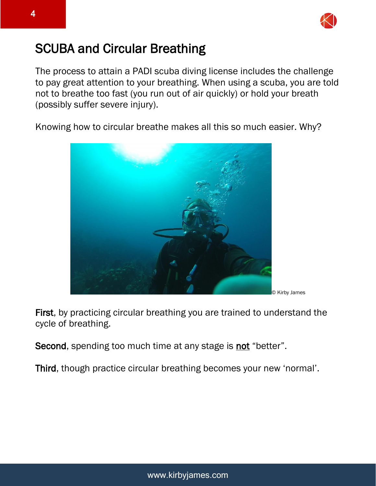

#### SCUBA and Circular Breathing

The process to attain a PADI scuba diving license includes the challenge to pay great attention to your breathing. When using a scuba, you are told not to breathe too fast (you run out of air quickly) or hold your breath (possibly suffer severe injury).

Knowing how to circular breathe makes all this so much easier. Why?



First, by practicing circular breathing you are trained to understand the cycle of breathing.

Second, spending too much time at any stage is not "better".

Third, though practice circular breathing becomes your new 'normal'.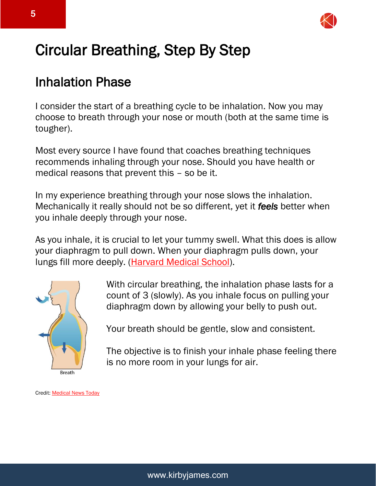

# Circular Breathing, Step By Step

#### Inhalation Phase

I consider the start of a breathing cycle to be inhalation. Now you may choose to breath through your nose or mouth (both at the same time is tougher).

Most every source I have found that coaches breathing techniques recommends inhaling through your nose. Should you have health or medical reasons that prevent this – so be it.

In my experience breathing through your nose slows the inhalation. Mechanically it really should not be so different, yet it *feels* better when you inhale deeply through your nose.

As you inhale, it is crucial to let your tummy swell. What this does is allow your diaphragm to pull down. When your diaphragm pulls down, your lungs fill more deeply. [\(Harvard Medical School\)](https://www.health.harvard.edu/lung-health-and-disease/learning-diaphragmatic-breathing).



With circular breathing, the inhalation phase lasts for a count of 3 (slowly). As you inhale focus on pulling your diaphragm down by allowing your belly to push out.

Your breath should be gentle, slow and consistent.

The objective is to finish your inhale phase feeling there is no more room in your lungs for air.

Credit[: Medical News Today](https://www.medicalnewstoday.com/articles/319924)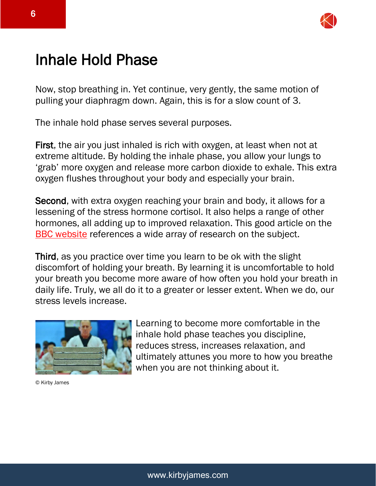

# Inhale Hold Phase

Now, stop breathing in. Yet continue, very gently, the same motion of pulling your diaphragm down. Again, this is for a slow count of 3.

The inhale hold phase serves several purposes.

First, the air you just inhaled is rich with oxygen, at least when not at extreme altitude. By holding the inhale phase, you allow your lungs to 'grab' more oxygen and release more carbon dioxide to exhale. This extra oxygen flushes throughout your body and especially your brain.

Second, with extra oxygen reaching your brain and body, it allows for a lessening of the stress hormone cortisol. It also helps a range of other hormones, all adding up to improved relaxation. This good article on the [BBC website](https://www.bbc.com/worklife/article/20200303-why-slowing-your-breathing-helps-you-relax) references a wide array of research on the subject.

Third, as you practice over time you learn to be ok with the slight discomfort of holding your breath. By learning it is uncomfortable to hold your breath you become more aware of how often you hold your breath in daily life. Truly, we all do it to a greater or lesser extent. When we do, our stress levels increase.



© Kirby James

Learning to become more comfortable in the inhale hold phase teaches you discipline, reduces stress, increases relaxation, and ultimately attunes you more to how you breathe when you are not thinking about it.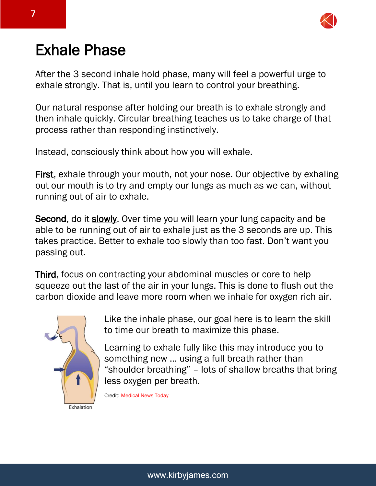

# Exhale Phase

After the 3 second inhale hold phase, many will feel a powerful urge to exhale strongly. That is, until you learn to control your breathing.

Our natural response after holding our breath is to exhale strongly and then inhale quickly. Circular breathing teaches us to take charge of that process rather than responding instinctively.

Instead, consciously think about how you will exhale.

First, exhale through your mouth, not your nose. Our objective by exhaling out our mouth is to try and empty our lungs as much as we can, without running out of air to exhale.

Second, do it slowly. Over time you will learn your lung capacity and be able to be running out of air to exhale just as the 3 seconds are up. This takes practice. Better to exhale too slowly than too fast. Don't want you passing out.

Third, focus on contracting your abdominal muscles or core to help squeeze out the last of the air in your lungs. This is done to flush out the carbon dioxide and leave more room when we inhale for oxygen rich air.



Like the inhale phase, our goal here is to learn the skill to time our breath to maximize this phase.

Learning to exhale fully like this may introduce you to something new … using a full breath rather than "shoulder breathing" – lots of shallow breaths that bring less oxygen per breath.

Credit: [Medical News Today](https://www.medicalnewstoday.com/articles/319924)

<sup>7</sup>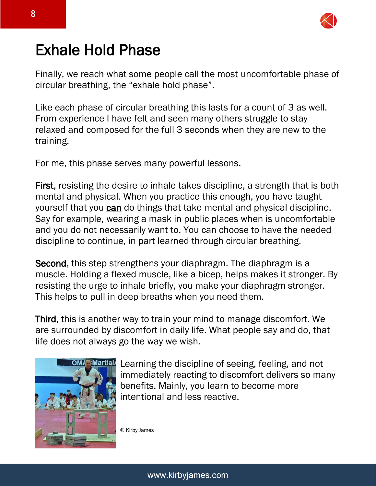

# Exhale Hold Phase

Finally, we reach what some people call the most uncomfortable phase of circular breathing, the "exhale hold phase".

Like each phase of circular breathing this lasts for a count of 3 as well. From experience I have felt and seen many others struggle to stay relaxed and composed for the full 3 seconds when they are new to the training.

For me, this phase serves many powerful lessons.

First, resisting the desire to inhale takes discipline, a strength that is both mental and physical. When you practice this enough, you have taught yourself that you can do things that take mental and physical discipline. Say for example, wearing a mask in public places when is uncomfortable and you do not necessarily want to. You can choose to have the needed discipline to continue, in part learned through circular breathing.

Second, this step strengthens your diaphragm. The diaphragm is a muscle. Holding a flexed muscle, like a bicep, helps makes it stronger. By resisting the urge to inhale briefly, you make your diaphragm stronger. This helps to pull in deep breaths when you need them.

Third, this is another way to train your mind to manage discomfort. We are surrounded by discomfort in daily life. What people say and do, that life does not always go the way we wish.



Learning the discipline of seeing, feeling, and not immediately reacting to discomfort delivers so many benefits. Mainly, you learn to become more intentional and less reactive.

© Kirby James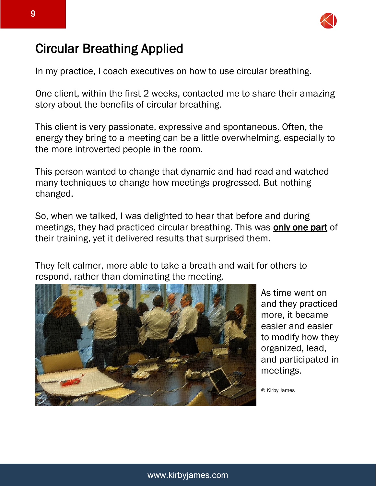

#### Circular Breathing Applied

In my practice, I coach executives on how to use circular breathing.

One client, within the first 2 weeks, contacted me to share their amazing story about the benefits of circular breathing.

This client is very passionate, expressive and spontaneous. Often, the energy they bring to a meeting can be a little overwhelming, especially to the more introverted people in the room.

This person wanted to change that dynamic and had read and watched many techniques to change how meetings progressed. But nothing changed.

So, when we talked, I was delighted to hear that before and during meetings, they had practiced circular breathing. This was **only one part** of their training, yet it delivered results that surprised them.

They felt calmer, more able to take a breath and wait for others to respond, rather than dominating the meeting.



As time went on and they practiced more, it became easier and easier to modify how they organized, lead, and participated in meetings.

© Kirby James